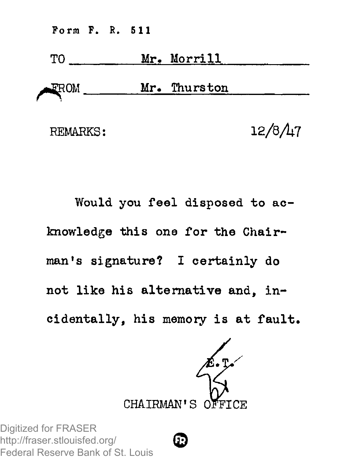Form P. R. 511



Would you feel disposed to ac knowledge this one for the Chairman's signature? I certainly do not like his alternative and, incidentally, his memory is at fault.



**0**

Digitized for FRASER http://fraser.stlouisfed.org/ Federal Reserve Bank of St. Louis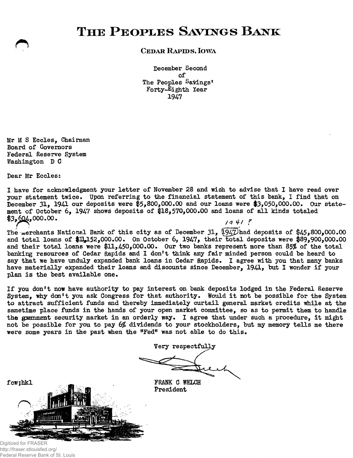## $THE$  **PEOPLES SAVINGS BANK**

## **CEDAR RAPIDS, IOWA**

December Second of The Peoples Sayings' Forty-Eighth Year 1947

Mr M S Eccles, Chairman Board of Governors Federal Reserve System Washington D C

Dear Mr Eccles:

I have for acknowledgment your letter of November 28 and wish to advise that I have read over your statement twice. Upon referring to the financial statement of this bank, I find that on December 31, 1941 our deposits were  $$5,800,000.00$  and our loans were \$3,050,000.00. Our statement of October 6, 1947 shows deposits of §18,570,000.00 and loans of all kinds totaled  $\frac{1}{2}$ ,000.00. */q 4/ f* 

The merchants National Bank of this city as of December 31, 1947 had deposits of \$45,800,000.00 and total loans of \$11,152,000.00. On October 6, 1947, their total deposits were \$89,900,000.00 and their total loans were \$11,450,000.00. Our two banks represent more than 85% of the total banking resources of Cedar Rapids and 1 don't think any fair minded person could be heard to say that we have unduly expanded bank loans in Cedar Rapids. I agree with you that many banks have materially expanded their loans and discounts since December, 1941, but I wonder if your plan is the best available one.

If you don't now have authority to pay interest on bank deposits lodged in the Federal Reserve System, why don't you ask Congress for that authority. Would it not be possible for the System to attract sufficient funds and thereby immediately curtail general market credits while at the sametime place funds in the hands of your open market committee, so as to permit them to handle the guenment security market in an orderly way. I agree that under such a procedure, it might not be possible for you to pay 6% dividends to your stockholders, but my memory tells me there were some years in the past when the "Fed" was not able to do this.

Very respectfully

President



Digitized for FRASER http://fraser.stlouisfed.org/ Federal Reserve Bank of St. Louis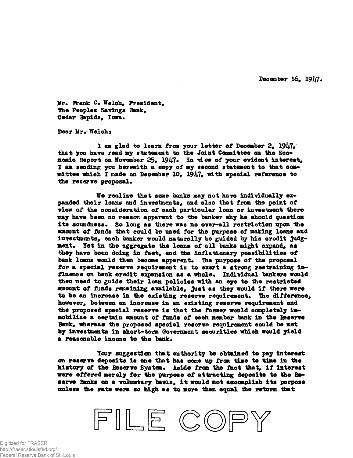December 16, 1917.

Mr. Frank C. Welch, President, **The Peoples Savings Bank.** Cedar Bapids, Iowa.

Dear Mr. Welch:

I am glad to learn from your letter of December 2, 1947, **that you have read** *my* **statement to the Joint Canaittee on the Economic Report on November 25\*** *19k7»* **In 'view of your evident interest, I an sending you herewith a copy of my seoond statement to that cosh\* mittee which I made on Decanber 10, 19i\*7, with speoial reference to the reserve proposal.**

**We realize that sane banks nay not have individually expanded their loans and investments, and also that fron tits point of view of idie consideration of each particular loan or investment there nay have been no reason apparent to the banker why he should question** its soundness. So long as there was no over-all restriction upon the **•mount of fimds that could be used for the purpose of making loan\* and investments, eaeh banker would naturally be guided by his oredit judgment. Yet in the aggregate the loans of a ll banks sight expand, as they have been doing ia fact, and the inflationary possibilities of** bank loans would then become apparent. The purpose of the proposal **for a special reserve requirement is to exert a strong restraining influence on bank oredit expansion as a whole. Individual bankers would then need to guide their loan policies with an eye to the restricted** amount of funds remaining available, just as they would if there were **to be an increase in tie existing reserve requirement\* The difference, however, between an inorease in an existing reserve requirement and the proposed speoial reserve is that the fomer would oampletely immobilize a oertain amount of funds of eaoh member bank in the Reserve Bank, whereas the proposed speoial reserve requirement could be met by investmo&ts in short-tern Government securities which would yield a reasonable inoone to the bank.**

Tour suggestion that authority be obtained to pay interest cm reserve deposits is m e that has **come** up from time to time in the history of the Reserve System. Aside from the faot that, if interest were offered merely for the purpose of attracting deposits to the Beserve Banks on a voluntary basis, it would not accomplish its purpose unless the rate were so high as to more than equal the return that